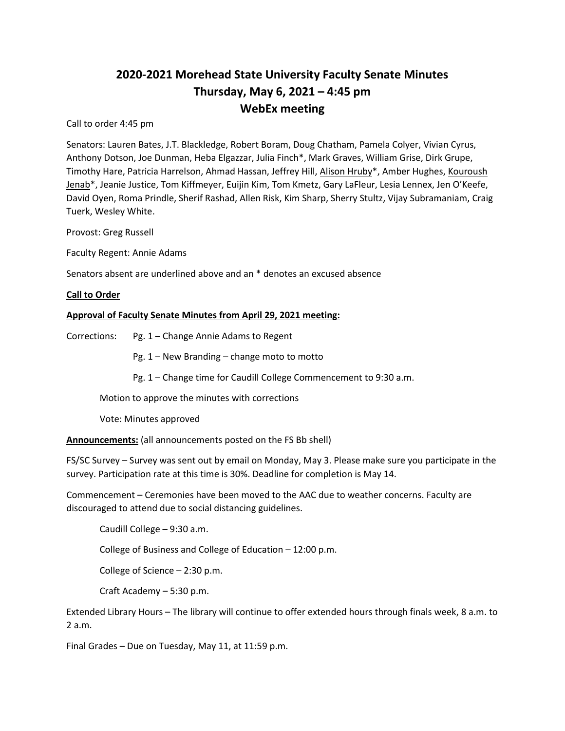# **2020-2021 Morehead State University Faculty Senate Minutes Thursday, May 6, 2021 – 4:45 pm WebEx meeting**

Call to order 4:45 pm

Senators: Lauren Bates, J.T. Blackledge, Robert Boram, Doug Chatham, Pamela Colyer, Vivian Cyrus, Anthony Dotson, Joe Dunman, Heba Elgazzar, Julia Finch\*, Mark Graves, William Grise, Dirk Grupe, Timothy Hare, Patricia Harrelson, Ahmad Hassan, Jeffrey Hill, Alison Hruby\*, Amber Hughes, Kouroush Jenab\*, Jeanie Justice, Tom Kiffmeyer, Euijin Kim, Tom Kmetz, Gary LaFleur, Lesia Lennex, Jen O'Keefe, David Oyen, Roma Prindle, Sherif Rashad, Allen Risk, Kim Sharp, Sherry Stultz, Vijay Subramaniam, Craig Tuerk, Wesley White.

Provost: Greg Russell

Faculty Regent: Annie Adams

Senators absent are underlined above and an \* denotes an excused absence

#### **Call to Order**

#### **Approval of Faculty Senate Minutes from April 29, 2021 meeting:**

Corrections: Pg. 1 – Change Annie Adams to Regent

Pg. 1 – New Branding – change moto to motto

Pg. 1 – Change time for Caudill College Commencement to 9:30 a.m.

Motion to approve the minutes with corrections

Vote: Minutes approved

**Announcements:** (all announcements posted on the FS Bb shell)

FS/SC Survey – Survey was sent out by email on Monday, May 3. Please make sure you participate in the survey. Participation rate at this time is 30%. Deadline for completion is May 14.

Commencement – Ceremonies have been moved to the AAC due to weather concerns. Faculty are discouraged to attend due to social distancing guidelines.

Caudill College – 9:30 a.m.

College of Business and College of Education – 12:00 p.m.

College of Science – 2:30 p.m.

Craft Academy – 5:30 p.m.

Extended Library Hours – The library will continue to offer extended hours through finals week, 8 a.m. to 2 a.m.

Final Grades – Due on Tuesday, May 11, at 11:59 p.m.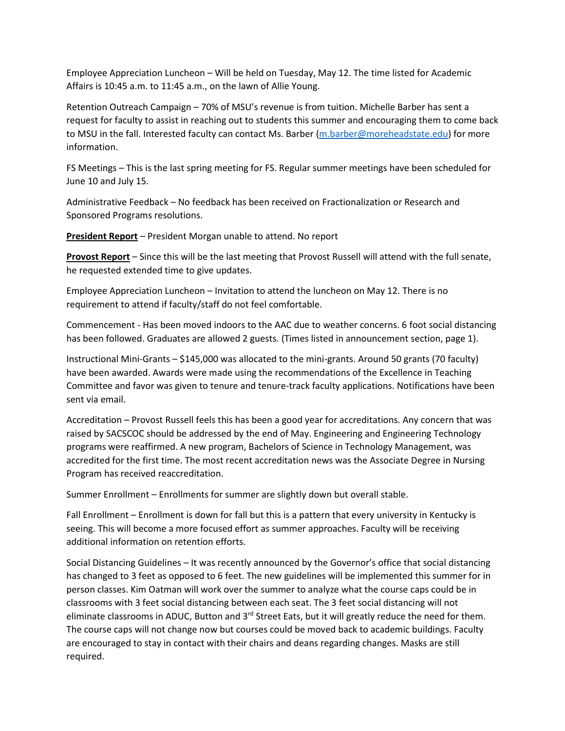Employee Appreciation Luncheon – Will be held on Tuesday, May 12. The time listed for Academic Affairs is 10:45 a.m. to 11:45 a.m., on the lawn of Allie Young.

Retention Outreach Campaign – 70% of MSU's revenue is from tuition. Michelle Barber has sent a request for faculty to assist in reaching out to students this summer and encouraging them to come back to MSU in the fall. Interested faculty can contact Ms. Barber [\(m.barber@moreheadstate.edu\)](mailto:m.barber@moreheadstate.edu) for more information.

FS Meetings – This is the last spring meeting for FS. Regular summer meetings have been scheduled for June 10 and July 15.

Administrative Feedback – No feedback has been received on Fractionalization or Research and Sponsored Programs resolutions.

**President Report** – President Morgan unable to attend. No report

**Provost Report** – Since this will be the last meeting that Provost Russell will attend with the full senate, he requested extended time to give updates.

Employee Appreciation Luncheon – Invitation to attend the luncheon on May 12. There is no requirement to attend if faculty/staff do not feel comfortable.

Commencement - Has been moved indoors to the AAC due to weather concerns. 6 foot social distancing has been followed. Graduates are allowed 2 guests. (Times listed in announcement section, page 1).

Instructional Mini-Grants – \$145,000 was allocated to the mini-grants. Around 50 grants (70 faculty) have been awarded. Awards were made using the recommendations of the Excellence in Teaching Committee and favor was given to tenure and tenure-track faculty applications. Notifications have been sent via email.

Accreditation – Provost Russell feels this has been a good year for accreditations. Any concern that was raised by SACSCOC should be addressed by the end of May. Engineering and Engineering Technology programs were reaffirmed. A new program, Bachelors of Science in Technology Management, was accredited for the first time. The most recent accreditation news was the Associate Degree in Nursing Program has received reaccreditation.

Summer Enrollment – Enrollments for summer are slightly down but overall stable.

Fall Enrollment – Enrollment is down for fall but this is a pattern that every university in Kentucky is seeing. This will become a more focused effort as summer approaches. Faculty will be receiving additional information on retention efforts.

Social Distancing Guidelines – It was recently announced by the Governor's office that social distancing has changed to 3 feet as opposed to 6 feet. The new guidelines will be implemented this summer for in person classes. Kim Oatman will work over the summer to analyze what the course caps could be in classrooms with 3 feet social distancing between each seat. The 3 feet social distancing will not eliminate classrooms in ADUC, Button and 3<sup>rd</sup> Street Eats, but it will greatly reduce the need for them. The course caps will not change now but courses could be moved back to academic buildings. Faculty are encouraged to stay in contact with their chairs and deans regarding changes. Masks are still required.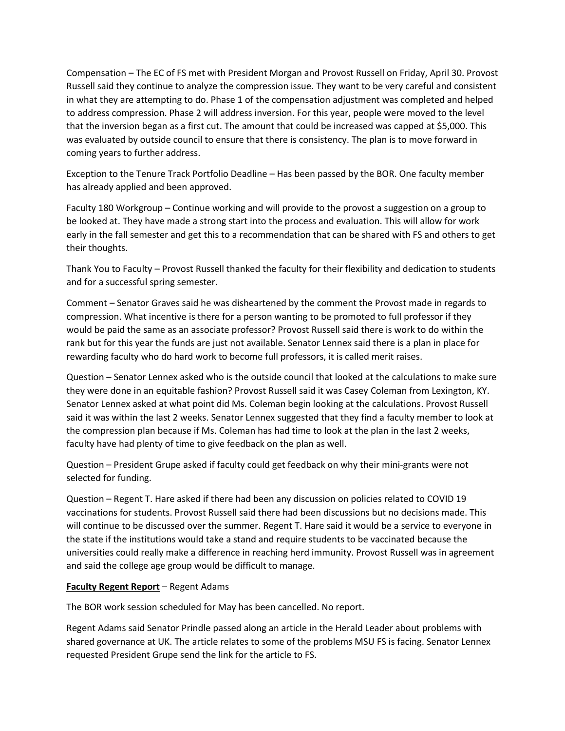Compensation – The EC of FS met with President Morgan and Provost Russell on Friday, April 30. Provost Russell said they continue to analyze the compression issue. They want to be very careful and consistent in what they are attempting to do. Phase 1 of the compensation adjustment was completed and helped to address compression. Phase 2 will address inversion. For this year, people were moved to the level that the inversion began as a first cut. The amount that could be increased was capped at \$5,000. This was evaluated by outside council to ensure that there is consistency. The plan is to move forward in coming years to further address.

Exception to the Tenure Track Portfolio Deadline – Has been passed by the BOR. One faculty member has already applied and been approved.

Faculty 180 Workgroup – Continue working and will provide to the provost a suggestion on a group to be looked at. They have made a strong start into the process and evaluation. This will allow for work early in the fall semester and get this to a recommendation that can be shared with FS and others to get their thoughts.

Thank You to Faculty – Provost Russell thanked the faculty for their flexibility and dedication to students and for a successful spring semester.

Comment – Senator Graves said he was disheartened by the comment the Provost made in regards to compression. What incentive is there for a person wanting to be promoted to full professor if they would be paid the same as an associate professor? Provost Russell said there is work to do within the rank but for this year the funds are just not available. Senator Lennex said there is a plan in place for rewarding faculty who do hard work to become full professors, it is called merit raises.

Question – Senator Lennex asked who is the outside council that looked at the calculations to make sure they were done in an equitable fashion? Provost Russell said it was Casey Coleman from Lexington, KY. Senator Lennex asked at what point did Ms. Coleman begin looking at the calculations. Provost Russell said it was within the last 2 weeks. Senator Lennex suggested that they find a faculty member to look at the compression plan because if Ms. Coleman has had time to look at the plan in the last 2 weeks, faculty have had plenty of time to give feedback on the plan as well.

Question – President Grupe asked if faculty could get feedback on why their mini-grants were not selected for funding.

Question – Regent T. Hare asked if there had been any discussion on policies related to COVID 19 vaccinations for students. Provost Russell said there had been discussions but no decisions made. This will continue to be discussed over the summer. Regent T. Hare said it would be a service to everyone in the state if the institutions would take a stand and require students to be vaccinated because the universities could really make a difference in reaching herd immunity. Provost Russell was in agreement and said the college age group would be difficult to manage.

## **Faculty Regent Report** – Regent Adams

The BOR work session scheduled for May has been cancelled. No report.

Regent Adams said Senator Prindle passed along an article in the Herald Leader about problems with shared governance at UK. The article relates to some of the problems MSU FS is facing. Senator Lennex requested President Grupe send the link for the article to FS.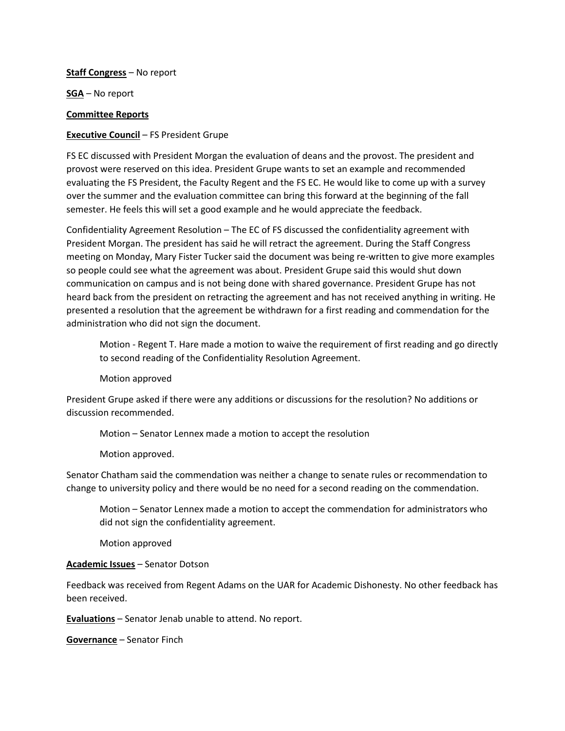#### **Staff Congress** – No report

**SGA** – No report

### **Committee Reports**

## **Executive Council** – FS President Grupe

FS EC discussed with President Morgan the evaluation of deans and the provost. The president and provost were reserved on this idea. President Grupe wants to set an example and recommended evaluating the FS President, the Faculty Regent and the FS EC. He would like to come up with a survey over the summer and the evaluation committee can bring this forward at the beginning of the fall semester. He feels this will set a good example and he would appreciate the feedback.

Confidentiality Agreement Resolution – The EC of FS discussed the confidentiality agreement with President Morgan. The president has said he will retract the agreement. During the Staff Congress meeting on Monday, Mary Fister Tucker said the document was being re-written to give more examples so people could see what the agreement was about. President Grupe said this would shut down communication on campus and is not being done with shared governance. President Grupe has not heard back from the president on retracting the agreement and has not received anything in writing. He presented a resolution that the agreement be withdrawn for a first reading and commendation for the administration who did not sign the document.

Motion - Regent T. Hare made a motion to waive the requirement of first reading and go directly to second reading of the Confidentiality Resolution Agreement.

Motion approved

President Grupe asked if there were any additions or discussions for the resolution? No additions or discussion recommended.

Motion – Senator Lennex made a motion to accept the resolution

Motion approved.

Senator Chatham said the commendation was neither a change to senate rules or recommendation to change to university policy and there would be no need for a second reading on the commendation.

Motion – Senator Lennex made a motion to accept the commendation for administrators who did not sign the confidentiality agreement.

Motion approved

## **Academic Issues** – Senator Dotson

Feedback was received from Regent Adams on the UAR for Academic Dishonesty. No other feedback has been received.

**Evaluations** – Senator Jenab unable to attend. No report.

**Governance** – Senator Finch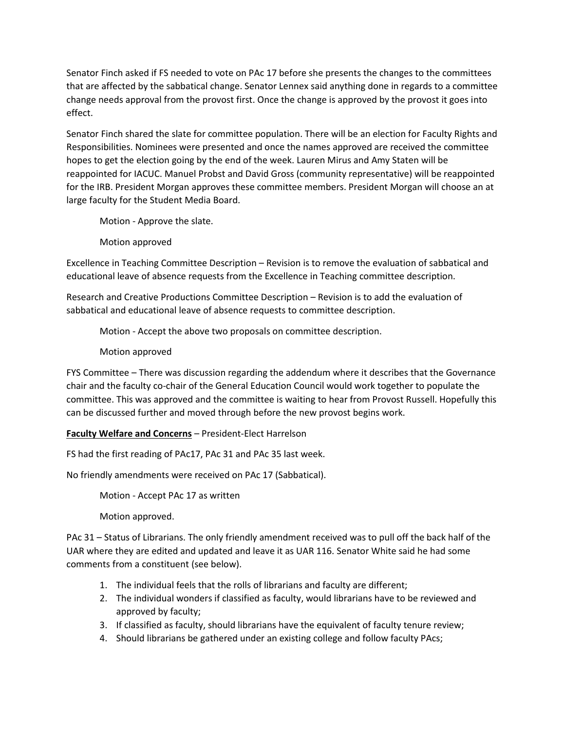Senator Finch asked if FS needed to vote on PAc 17 before she presents the changes to the committees that are affected by the sabbatical change. Senator Lennex said anything done in regards to a committee change needs approval from the provost first. Once the change is approved by the provost it goes into effect.

Senator Finch shared the slate for committee population. There will be an election for Faculty Rights and Responsibilities. Nominees were presented and once the names approved are received the committee hopes to get the election going by the end of the week. Lauren Mirus and Amy Staten will be reappointed for IACUC. Manuel Probst and David Gross (community representative) will be reappointed for the IRB. President Morgan approves these committee members. President Morgan will choose an at large faculty for the Student Media Board.

Motion - Approve the slate.

Motion approved

Excellence in Teaching Committee Description – Revision is to remove the evaluation of sabbatical and educational leave of absence requests from the Excellence in Teaching committee description.

Research and Creative Productions Committee Description – Revision is to add the evaluation of sabbatical and educational leave of absence requests to committee description.

Motion - Accept the above two proposals on committee description.

Motion approved

FYS Committee – There was discussion regarding the addendum where it describes that the Governance chair and the faculty co-chair of the General Education Council would work together to populate the committee. This was approved and the committee is waiting to hear from Provost Russell. Hopefully this can be discussed further and moved through before the new provost begins work.

**Faculty Welfare and Concerns** – President-Elect Harrelson

FS had the first reading of PAc17, PAc 31 and PAc 35 last week.

No friendly amendments were received on PAc 17 (Sabbatical).

Motion - Accept PAc 17 as written

Motion approved.

PAc 31 – Status of Librarians. The only friendly amendment received was to pull off the back half of the UAR where they are edited and updated and leave it as UAR 116. Senator White said he had some comments from a constituent (see below).

- 1. The individual feels that the rolls of librarians and faculty are different;
- 2. The individual wonders if classified as faculty, would librarians have to be reviewed and approved by faculty;
- 3. If classified as faculty, should librarians have the equivalent of faculty tenure review;
- 4. Should librarians be gathered under an existing college and follow faculty PAcs;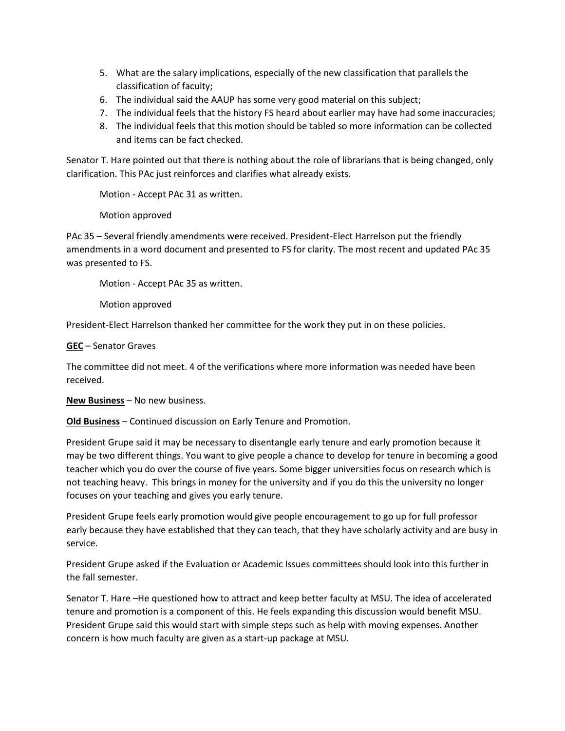- 5. What are the salary implications, especially of the new classification that parallels the classification of faculty;
- 6. The individual said the AAUP has some very good material on this subject;
- 7. The individual feels that the history FS heard about earlier may have had some inaccuracies;
- 8. The individual feels that this motion should be tabled so more information can be collected and items can be fact checked.

Senator T. Hare pointed out that there is nothing about the role of librarians that is being changed, only clarification. This PAc just reinforces and clarifies what already exists.

Motion - Accept PAc 31 as written.

Motion approved

PAc 35 – Several friendly amendments were received. President-Elect Harrelson put the friendly amendments in a word document and presented to FS for clarity. The most recent and updated PAc 35 was presented to FS.

Motion - Accept PAc 35 as written.

Motion approved

President-Elect Harrelson thanked her committee for the work they put in on these policies.

**GEC** – Senator Graves

The committee did not meet. 4 of the verifications where more information was needed have been received.

**New Business** – No new business.

**Old Business** – Continued discussion on Early Tenure and Promotion.

President Grupe said it may be necessary to disentangle early tenure and early promotion because it may be two different things. You want to give people a chance to develop for tenure in becoming a good teacher which you do over the course of five years. Some bigger universities focus on research which is not teaching heavy. This brings in money for the university and if you do this the university no longer focuses on your teaching and gives you early tenure.

President Grupe feels early promotion would give people encouragement to go up for full professor early because they have established that they can teach, that they have scholarly activity and are busy in service.

President Grupe asked if the Evaluation or Academic Issues committees should look into this further in the fall semester.

Senator T. Hare –He questioned how to attract and keep better faculty at MSU. The idea of accelerated tenure and promotion is a component of this. He feels expanding this discussion would benefit MSU. President Grupe said this would start with simple steps such as help with moving expenses. Another concern is how much faculty are given as a start-up package at MSU.